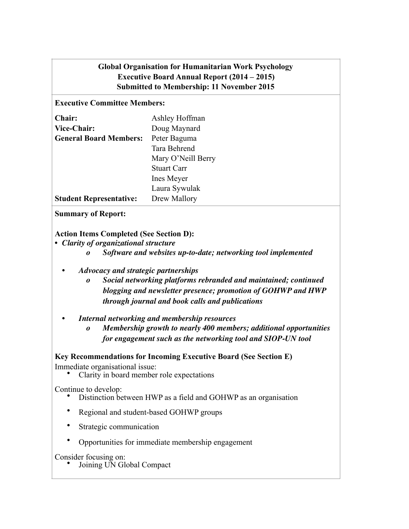## **Global Organisation for Humanitarian Work Psychology Executive Board Annual Report (2014 – 2015) Submitted to Membership: 11 November 2015**

#### **Executive Committee Members:**

| Chair:                         | Ashley Hoffman     |
|--------------------------------|--------------------|
| Vice-Chair:                    | Doug Maynard       |
| <b>General Board Members:</b>  | Peter Baguma       |
|                                | Tara Behrend       |
|                                | Mary O'Neill Berry |
|                                | <b>Stuart Carr</b> |
|                                | <b>Ines</b> Meyer  |
|                                | Laura Sywulak      |
| <b>Student Representative:</b> | Drew Mallory       |

#### **Summary of Report:**

### **Action Items Completed (See Section D):**

- *Clarity of organizational structure*
	- *o Software and websites up-to-date; networking tool implemented*

#### *• Advocacy and strategic partnerships*

- *o Social networking platforms rebranded and maintained; continued blogging and newsletter presence; promotion of GOHWP and HWP through journal and book calls and publications*
- *Internal networking and membership resources*
	- *o Membership growth to nearly 400 members; additional opportunities for engagement such as the networking tool and SIOP-UN tool*

# **Key Recommendations for Incoming Executive Board (See Section E)**

Immediate organisational issue:<br>
• Clarity in board member role expectations

- Continue to develop: Distinction between HWP as a field and GOHWP as an organisation
	- Regional and student-based GOHWP groups
	- Strategic communication
	- Opportunities for immediate membership engagement

Consider focusing on: • Joining UN Global Compact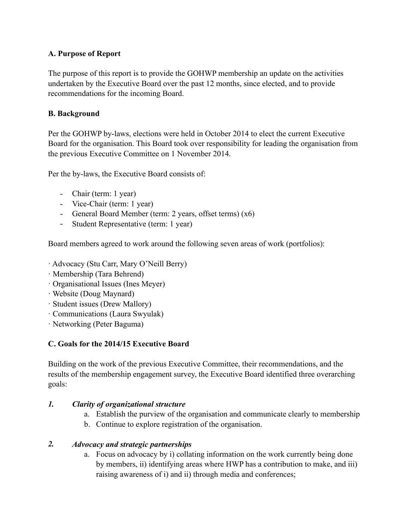## **A. Purpose of Report**

The purpose of this report is to provide the GOHWP membership an update on the activities undertaken by the Executive Board over the past 12 months, since elected, and to provide recommendations for the incoming Board.

#### **B. Background**

Per the GOHWP by-laws, elections were held in October 2014 to elect the current Executive Board for the organisation. This Board took over responsibility for leading the organisation from the previous Executive Committee on 1 November 2014.

Per the by-laws, the Executive Board consists of:

- Chair (term: 1 year)
- Vice-Chair (term: 1 year)
- General Board Member (term: 2 years, offset terms) (x6)
- Student Representative (term: 1 year)

Board members agreed to work around the following seven areas of work (portfolios):

- · Advocacy (Stu Carr, Mary O'Neill Berry)
- · Membership (Tara Behrend)
- · Organisational Issues (Ines Meyer)
- · Website (Doug Maynard)
- · Student issues (Drew Mallory)
- · Communications (Laura Swyulak)
- · Networking (Peter Baguma)

#### **C. Goals for the 2014/15 Executive Board**

Building on the work of the previous Executive Committee, their recommendations, and the results of the membership engagement survey, the Executive Board identified three overarching goals:

#### *1. Clarity of organizational structure*

- a. Establish the purview of the organisation and communicate clearly to membership
- b. Continue to explore registration of the organisation.

#### *2. Advocacy and strategic partnerships*

a. Focus on advocacy by i) collating information on the work currently being done by members, ii) identifying areas where HWP has a contribution to make, and iii) raising awareness of i) and ii) through media and conferences;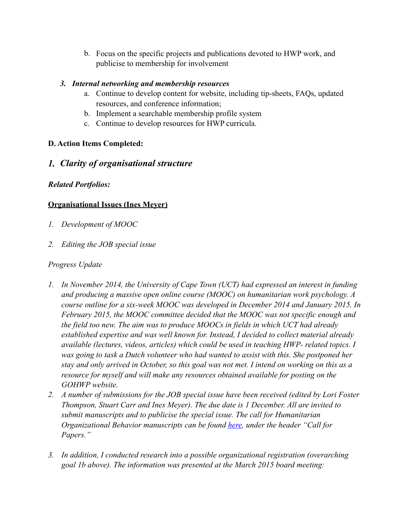b. Focus on the specific projects and publications devoted to HWP work, and publicise to membership for involvement

# *3. Internal networking and membership resources*

- a. Continue to develop content for website, including tip-sheets, FAQs, updated resources, and conference information;
- b. Implement a searchable membership profile system
- c. Continue to develop resources for HWP curricula.

### **D. Action Items Completed:**

# *1. Clarity of organisational structure*

# *Related Portfolios:*

### **Organisational Issues (Ines Meyer)**

- *1. Development of MOOC*
- *2. Editing the JOB special issue*

### *Progress Update*

- *1. In November 2014, the University of Cape Town (UCT) had expressed an interest in funding and producing a massive open online course (MOOC) on humanitarian work psychology. A course outline for a six-week MOOC was developed in December 2014 and January 2015. In February 2015, the MOOC committee decided that the MOOC was not specific enough and the field too new. The aim was to produce MOOCs in fields in which UCT had already established expertise and was well known for. Instead, I decided to collect material already available (lectures, videos, articles) which could be used in teaching HWP- related topics. I was going to task a Dutch volunteer who had wanted to assist with this. She postponed her stay and only arrived in October, so this goal was not met. I intend on working on this as a resource for myself and will make any resources obtained available for posting on the GOHWP website.*
- *2. A number of submissions for the JOB special issue have been received (edited by Lori Foster Thompson, Stuart Carr and Ines Meyer). The due date is 1 December. All are invited to submit manuscripts and to publicise the special issue. The call for Humanitarian Organizational Behavior manuscripts can be found [here](http://onlinelibrary.wiley.com/journal/10.1002/%28ISSN%291099-1379), under the header "Call for Papers."*
- *3. In addition, I conducted research into a possible organizational registration (overarching goal 1b above). The information was presented at the March 2015 board meeting:*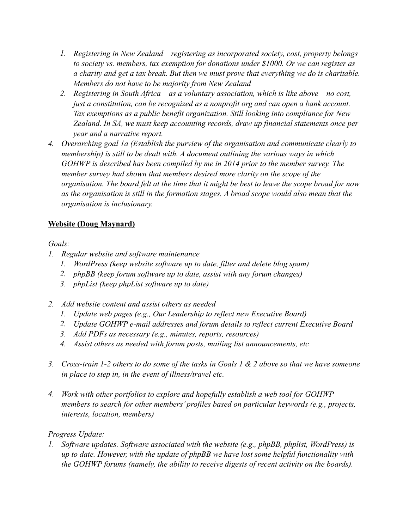- *1. Registering in New Zealand registering as incorporated society, cost, property belongs to society vs. members, tax exemption for donations under \$1000. Or we can register as a charity and get a tax break. But then we must prove that everything we do is charitable. Members do not have to be majority from New Zealand*
- *2. Registering in South Africa as a voluntary association, which is like above no cost, just a constitution, can be recognized as a nonprofit org and can open a bank account. Tax exemptions as a public benefit organization. Still looking into compliance for New Zealand. In SA, we must keep accounting records, draw up financial statements once per year and a narrative report.*
- *4. Overarching goal 1a (Establish the purview of the organisation and communicate clearly to membership) is still to be dealt with. A document outlining the various ways in which GOHWP is described has been compiled by me in 2014 prior to the member survey. The member survey had shown that members desired more clarity on the scope of the organisation. The board felt at the time that it might be best to leave the scope broad for now as the organisation is still in the formation stages. A broad scope would also mean that the organisation is inclusionary.*

# **Website (Doug Maynard)**

### *Goals:*

- *1. Regular website and software maintenance* 
	- *1. WordPress (keep website software up to date, filter and delete blog spam)*
	- *2. phpBB (keep forum software up to date, assist with any forum changes)*
	- *3. phpList (keep phpList software up to date)*
- *2. Add website content and assist others as needed* 
	- *1. Update web pages (e.g., Our Leadership to reflect new Executive Board)*
	- *2. Update GOHWP e-mail addresses and forum details to reflect current Executive Board*
	- *3. Add PDFs as necessary (e.g., minutes, reports, resources)*
	- *4. Assist others as needed with forum posts, mailing list announcements, etc*
- *3. Cross-train 1-2 others to do some of the tasks in Goals 1 & 2 above so that we have someone in place to step in, in the event of illness/travel etc.*
- *4. Work with other portfolios to explore and hopefully establish a web tool for GOHWP members to search for other members' profiles based on particular keywords (e.g., projects, interests, location, members)*

# *Progress Update:*

*1. Software updates. Software associated with the website (e.g., phpBB, phplist, WordPress) is up to date. However, with the update of phpBB we have lost some helpful functionality with the GOHWP forums (namely, the ability to receive digests of recent activity on the boards).*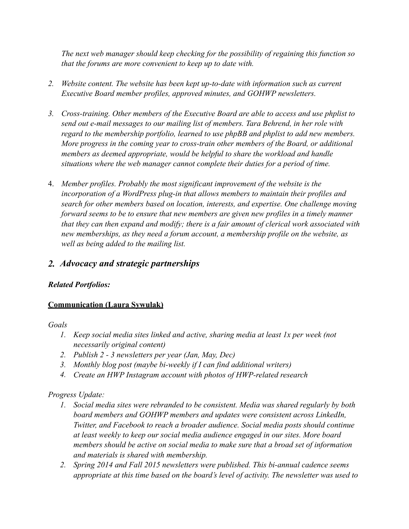*The next web manager should keep checking for the possibility of regaining this function so that the forums are more convenient to keep up to date with.* 

- *2. Website content. The website has been kept up-to-date with information such as current Executive Board member profiles, approved minutes, and GOHWP newsletters.*
- *3. Cross-training. Other members of the Executive Board are able to access and use phplist to send out e-mail messages to our mailing list of members. Tara Behrend, in her role with regard to the membership portfolio, learned to use phpBB and phplist to add new members. More progress in the coming year to cross-train other members of the Board, or additional members as deemed appropriate, would be helpful to share the workload and handle situations where the web manager cannot complete their duties for a period of time.*
- 4. *Member profiles. Probably the most significant improvement of the website is the incorporation of a WordPress plug-in that allows members to maintain their profiles and search for other members based on location, interests, and expertise. One challenge moving forward seems to be to ensure that new members are given new profiles in a timely manner that they can then expand and modify; there is a fair amount of clerical work associated with new memberships, as they need a forum account, a membership profile on the website, as well as being added to the mailing list.*

# *2. Advocacy and strategic partnerships*

# *Related Portfolios:*

# **Communication (Laura Sywulak)**

*Goals* 

- *1. Keep social media sites linked and active, sharing media at least 1x per week (not necessarily original content)*
- *2. Publish 2 3 newsletters per year (Jan, May, Dec)*
- *3. Monthly blog post (maybe bi-weekly if I can find additional writers)*
- *4. Create an HWP Instagram account with photos of HWP-related research*

# *Progress Update:*

- *1. Social media sites were rebranded to be consistent. Media was shared regularly by both board members and GOHWP members and updates were consistent across LinkedIn, Twitter, and Facebook to reach a broader audience. Social media posts should continue at least weekly to keep our social media audience engaged in our sites. More board members should be active on social media to make sure that a broad set of information and materials is shared with membership.*
- *2. Spring 2014 and Fall 2015 newsletters were published. This bi-annual cadence seems appropriate at this time based on the board's level of activity. The newsletter was used to*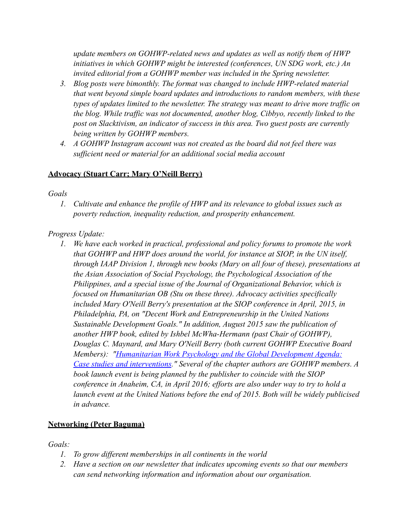*update members on GOHWP-related news and updates as well as notify them of HWP initiatives in which GOHWP might be interested (conferences, UN SDG work, etc.) An invited editorial from a GOHWP member was included in the Spring newsletter.* 

- *3. Blog posts were bimonthly. The format was changed to include HWP-related material that went beyond simple board updates and introductions to random members, with these types of updates limited to the newsletter. The strategy was meant to drive more traffic on the blog. While traffic was not documented, another blog, Cibbyo, recently linked to the post on Slacktivism, an indicator of success in this area. Two guest posts are currently being written by GOHWP members.*
- *4. A GOHWP Instagram account was not created as the board did not feel there was sufficient need or material for an additional social media account*

# **Advocacy (Stuart Carr; Mary O'Neill Berry)**

*Goals* 

*1. Cultivate and enhance the profile of HWP and its relevance to global issues such as poverty reduction, inequality reduction, and prosperity enhancement.* 

### *Progress Update:*

*1. We have each worked in practical, professional and policy forums to promote the work that GOHWP and HWP does around the world, for instance at SIOP, in the UN itself, through IAAP Division 1, through new books (Mary on all four of these), presentations at the Asian Association of Social Psychology, the Psychological Association of the Philippines, and a special issue of the Journal of Organizational Behavior, which is focused on Humanitarian OB (Stu on these three). Advocacy activities specifically included Mary O'Neill Berry's presentation at the SIOP conference in April, 2015, in Philadelphia, PA, on "Decent Work and Entrepreneurship in the United Nations Sustainable Development Goals." In addition, August 2015 saw the publication of another HWP book, edited by Ishbel McWha-Hermann (past Chair of GOHWP), Douglas C. Maynard, and Mary O'Neill Berry (both current GOHWP Executive Board Members): "Humanitarian Work Psychology and the Global Development Agenda: [Case studies and interventions." Several of the chapter authors are GOHWP member](https://www.routledge.com/products/9781848723689)s. A book launch event is being planned by the publisher to coincide with the SIOP conference in Anaheim, CA, in April 2016; efforts are also under way to try to hold a*  launch event at the United Nations before the end of 2015. Both will be widely publicised *in advance.*

#### **Networking (Peter Baguma)**

*Goals:*

- *1. To grow different memberships in all continents in the world*
- *2. Have a section on our newsletter that indicates upcoming events so that our members can send networking information and information about our organisation.*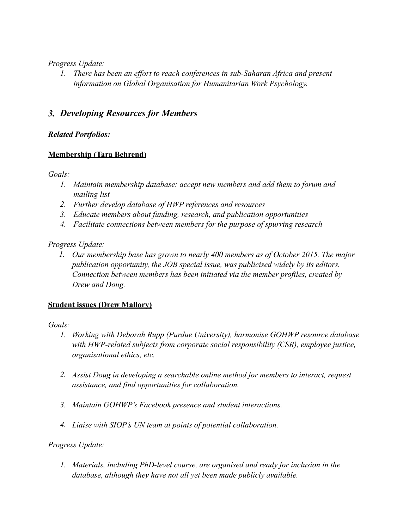### *Progress Update:*

*1. There has been an effort to reach conferences in sub-Saharan Africa and present information on Global Organisation for Humanitarian Work Psychology.* 

# *3. Developing Resources for Members*

# *Related Portfolios:*

### **Membership (Tara Behrend)**

*Goals:* 

- *1. Maintain membership database: accept new members and add them to forum and mailing list*
- *2. Further develop database of HWP references and resources*
- *3. Educate members about funding, research, and publication opportunities*
- *4. Facilitate connections between members for the purpose of spurring research*

*Progress Update:* 

*1. Our membership base has grown to nearly 400 members as of October 2015. The major publication opportunity, the JOB special issue, was publicised widely by its editors. Connection between members has been initiated via the member profiles, created by Drew and Doug.* 

# **Student issues (Drew Mallory)**

*Goals:* 

- *1. Working with Deborah Rupp (Purdue University), harmonise GOHWP resource database with HWP-related subjects from corporate social responsibility (CSR), employee justice, organisational ethics, etc.*
- *2. Assist Doug in developing a searchable online method for members to interact, request assistance, and find opportunities for collaboration.*
- *3. Maintain GOHWP's Facebook presence and student interactions.*
- *4. Liaise with SIOP's UN team at points of potential collaboration.*

# *Progress Update:*

*1. Materials, including PhD-level course, are organised and ready for inclusion in the database, although they have not all yet been made publicly available.*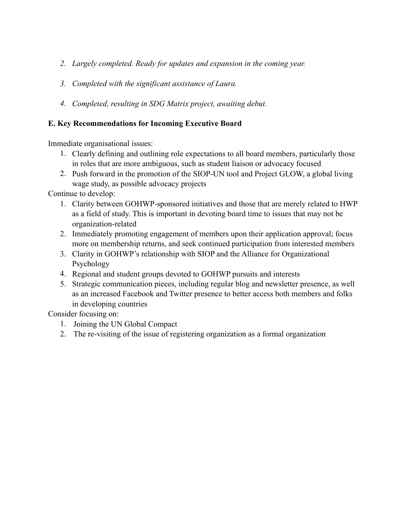- *2. Largely completed. Ready for updates and expansion in the coming year.*
- *3. Completed with the significant assistance of Laura.*
- *4. Completed, resulting in SDG Matrix project, awaiting debut.*

# **E. Key Recommendations for Incoming Executive Board**

Immediate organisational issues:

- 1. Clearly defining and outlining role expectations to all board members, particularly those in roles that are more ambiguous, such as student liaison or advocacy focused
- 2. Push forward in the promotion of the SIOP-UN tool and Project GLOW, a global living wage study, as possible advocacy projects

Continue to develop:

- 1. Clarity between GOHWP-sponsored initiatives and those that are merely related to HWP as a field of study. This is important in devoting board time to issues that may not be organization-related
- 2. Immediately promoting engagement of members upon their application approval; focus more on membership returns, and seek continued participation from interested members
- 3. Clarity in GOHWP's relationship with SIOP and the Alliance for Organizational Psychology
- 4. Regional and student groups devoted to GOHWP pursuits and interests
- 5. Strategic communication pieces, including regular blog and newsletter presence, as well as an increased Facebook and Twitter presence to better access both members and folks in developing countries

Consider focusing on:

- 1. Joining the UN Global Compact
- 2. The re-visiting of the issue of registering organization as a formal organization